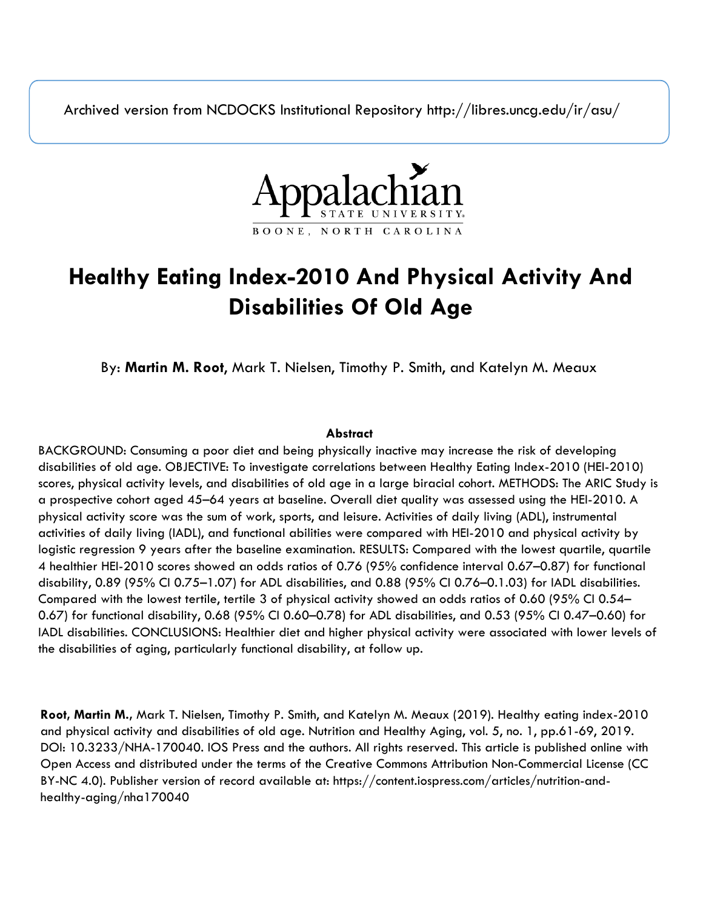Archived version from NCDOCKS Institutional Repository http://libres.uncg.edu/ir/asu/



# **Healthy Eating Index-2010 And Physical Activity And Disabilities Of Old Age**

By: **Martin M. Root**, Mark T. Nielsen, Timothy P. Smith, and Katelyn M. Meaux

# **Abstract**

BACKGROUND: Consuming a poor diet and being physically inactive may increase the risk of developing disabilities of old age. OBJECTIVE: To investigate correlations between Healthy Eating Index-2010 (HEI-2010) scores, physical activity levels, and disabilities of old age in a large biracial cohort. METHODS: The ARIC Study is a prospective cohort aged 45–64 years at baseline. Overall diet quality was assessed using the HEI-2010. A physical activity score was the sum of work, sports, and leisure. Activities of daily living (ADL), instrumental activities of daily living (IADL), and functional abilities were compared with HEI-2010 and physical activity by logistic regression 9 years after the baseline examination. RESULTS: Compared with the lowest quartile, quartile 4 healthier HEI-2010 scores showed an odds ratios of 0.76 (95% confidence interval 0.67–0.87) for functional disability, 0.89 (95% CI 0.75–1.07) for ADL disabilities, and 0.88 (95% CI 0.76–0.1.03) for IADL disabilities. Compared with the lowest tertile, tertile 3 of physical activity showed an odds ratios of 0.60 (95% CI 0.54– 0.67) for functional disability, 0.68 (95% CI 0.60–0.78) for ADL disabilities, and 0.53 (95% CI 0.47–0.60) for IADL disabilities. CONCLUSIONS: Healthier diet and higher physical activity were associated with lower levels of the disabilities of aging, particularly functional disability, at follow up.

**Root, Martin M.,** Mark T. Nielsen, Timothy P. Smith, and Katelyn M. Meaux (2019). Healthy eating index-2010 and physical activity and disabilities of old age. Nutrition and Healthy Aging, vol. 5, no. 1, pp.61-69, 2019. DOI: 10.3233/NHA-170040. IOS Press and the authors. All rights reserved. This article is published online with Open Access and distributed under the terms of the Creative Commons Attribution Non-Commercial License (CC BY-NC 4.0). Publisher version of record available at: https://content.iospress.com/articles/nutrition-andhealthy-aging/nha170040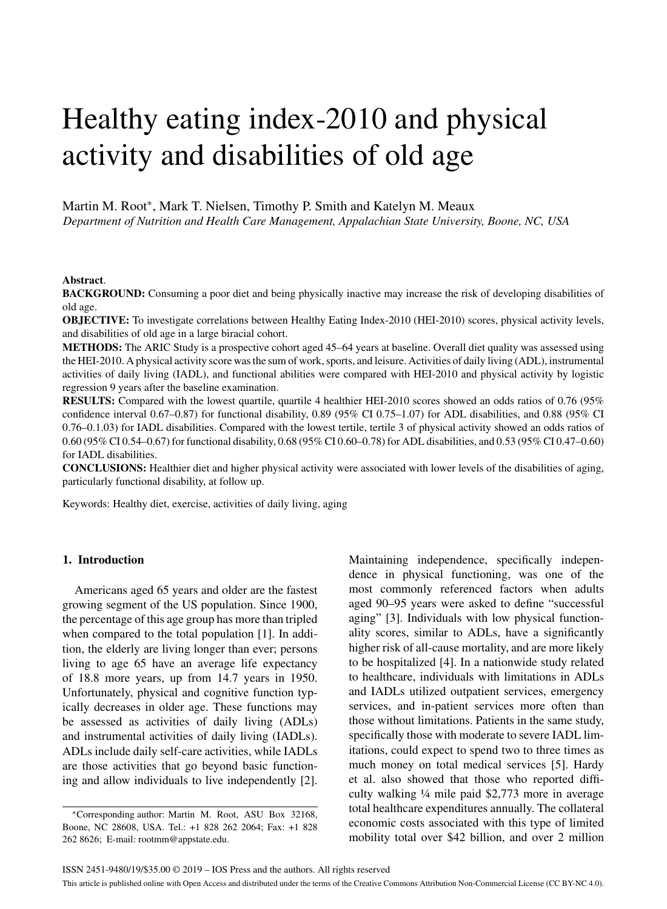# Healthy eating index-2010 and physical activity and disabilities of old age

Martin M. Root\*, Mark T. Nielsen, Timothy P. Smith and Katelyn M. Meaux *Department of Nutrition and Health Care Management, Appalachian State University, Boone, NC, USA*

#### **Abstract**.

**BACKGROUND:** Consuming a poor diet and being physically inactive may increase the risk of developing disabilities of old age.

**OBJECTIVE:** To investigate correlations between Healthy Eating Index-2010 (HEI-2010) scores, physical activity levels, and disabilities of old age in a large biracial cohort.

**METHODS:** The ARIC Study is a prospective cohort aged 45–64 years at baseline. Overall diet quality was assessed using the HEI-2010. A physical activity score was the sum of work, sports, and leisure. Activities of daily living (ADL), instrumental activities of daily living (IADL), and functional abilities were compared with HEI-2010 and physical activity by logistic regression 9 years after the baseline examination.

**RESULTS:** Compared with the lowest quartile, quartile 4 healthier HEI-2010 scores showed an odds ratios of 0.76 (95% confidence interval 0.67–0.87) for functional disability, 0.89 (95% CI 0.75–1.07) for ADL disabilities, and 0.88 (95% CI 0.76–0.1.03) for IADL disabilities. Compared with the lowest tertile, tertile 3 of physical activity showed an odds ratios of 0.60 (95% CI 0.54–0.67) for functional disability, 0.68 (95% CI 0.60–0.78) for ADL disabilities, and 0.53 (95% CI 0.47–0.60) for IADL disabilities.

**CONCLUSIONS:** Healthier diet and higher physical activity were associated with lower levels of the disabilities of aging, particularly functional disability, at follow up.

Keywords: Healthy diet, exercise, activities of daily living, aging

# **1. Introduction**

Americans aged 65 years and older are the fastest growing segment of the US population. Since 1900, the percentage of this age group has more than tripled when compared to the total population [1]. In addition, the elderly are living longer than ever; persons living to age 65 have an average life expectancy of 18.8 more years, up from 14.7 years in 1950. Unfortunately, physical and cognitive function typically decreases in older age. These functions may be assessed as activities of daily living (ADLs) and instrumental activities of daily living (IADLs). ADLs include daily self-care activities, while IADLs are those activities that go beyond basic functioning and allow individuals to live independently [2].

Maintaining independence, specifically independence in physical functioning, was one of the most commonly referenced factors when adults aged 90–95 years were asked to define "successful aging" [3]. Individuals with low physical functionality scores, similar to ADLs, have a significantly higher risk of all-cause mortality, and are more likely to be hospitalized [4]. In a nationwide study related to healthcare, individuals with limitations in ADLs and IADLs utilized outpatient services, emergency services, and in-patient services more often than those without limitations. Patients in the same study, specifically those with moderate to severe IADL limitations, could expect to spend two to three times as much money on total medical services [5]. Hardy et al. also showed that those who reported difficulty walking ¼ mile paid \$2,773 more in average total healthcare expenditures annually. The collateral economic costs associated with this type of limited mobility total over \$42 billion, and over 2 million

<sup>∗</sup>Corresponding author: Martin M. Root, ASU Box 32168, Boone, NC 28608, USA. Tel.: +1 828 262 2064; Fax: +1 828 262 8626; E-mail: [rootmm@appstate.edu](mailto:rootmm@appstate.edu).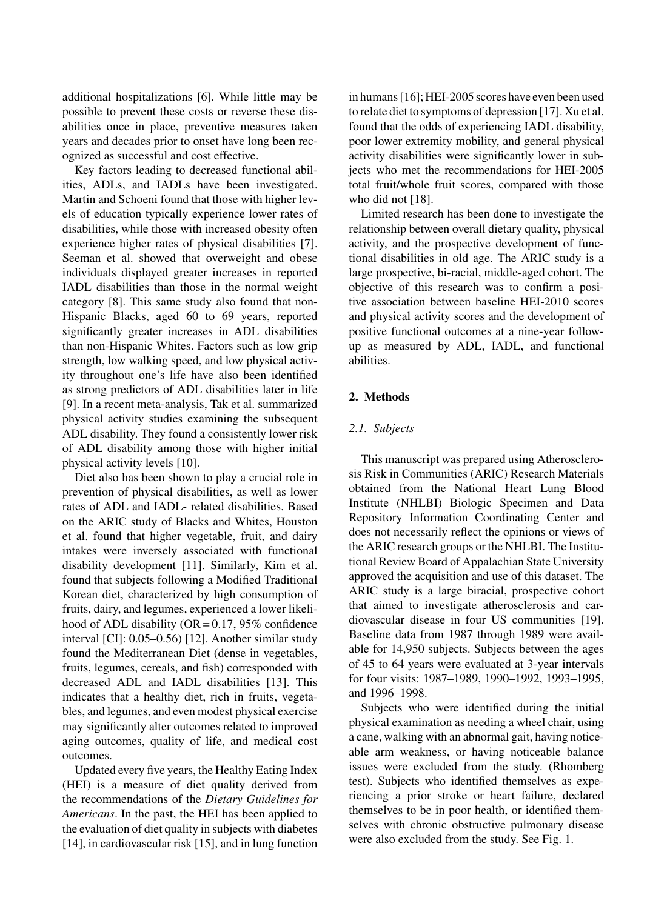additional hospitalizations [6]. While little may be possible to prevent these costs or reverse these disabilities once in place, preventive measures taken years and decades prior to onset have long been recognized as successful and cost effective.

Key factors leading to decreased functional abilities, ADLs, and IADLs have been investigated. Martin and Schoeni found that those with higher levels of education typically experience lower rates of disabilities, while those with increased obesity often experience higher rates of physical disabilities [7]. Seeman et al. showed that overweight and obese individuals displayed greater increases in reported IADL disabilities than those in the normal weight category [8]. This same study also found that non-Hispanic Blacks, aged 60 to 69 years, reported significantly greater increases in ADL disabilities than non-Hispanic Whites. Factors such as low grip strength, low walking speed, and low physical activity throughout one's life have also been identified as strong predictors of ADL disabilities later in life [9]. In a recent meta-analysis, Tak et al. summarized physical activity studies examining the subsequent ADL disability. They found a consistently lower risk of ADL disability among those with higher initial physical activity levels [10].

Diet also has been shown to play a crucial role in prevention of physical disabilities, as well as lower rates of ADL and IADL- related disabilities. Based on the ARIC study of Blacks and Whites, Houston et al. found that higher vegetable, fruit, and dairy intakes were inversely associated with functional disability development [11]. Similarly, Kim et al. found that subjects following a Modified Traditional Korean diet, characterized by high consumption of fruits, dairy, and legumes, experienced a lower likelihood of ADL disability ( $OR = 0.17$ , 95% confidence interval [CI]: 0.05–0.56) [12]. Another similar study found the Mediterranean Diet (dense in vegetables, fruits, legumes, cereals, and fish) corresponded with decreased ADL and IADL disabilities [13]. This indicates that a healthy diet, rich in fruits, vegetables, and legumes, and even modest physical exercise may significantly alter outcomes related to improved aging outcomes, quality of life, and medical cost outcomes.

Updated every five years, the Healthy Eating Index (HEI) is a measure of diet quality derived from the recommendations of the *Dietary Guidelines for Americans*. In the past, the HEI has been applied to the evaluation of diet quality in subjects with diabetes [14], in cardiovascular risk [15], and in lung function

in humans [16]; HEI-2005 scores have even been used to relate diet to symptoms of depression [17]. Xu et al. found that the odds of experiencing IADL disability, poor lower extremity mobility, and general physical activity disabilities were significantly lower in subjects who met the recommendations for HEI-2005 total fruit/whole fruit scores, compared with those who did not [18].

Limited research has been done to investigate the relationship between overall dietary quality, physical activity, and the prospective development of functional disabilities in old age. The ARIC study is a large prospective, bi-racial, middle-aged cohort. The objective of this research was to confirm a positive association between baseline HEI-2010 scores and physical activity scores and the development of positive functional outcomes at a nine-year followup as measured by ADL, IADL, and functional abilities.

# **2. Methods**

# *2.1. Subjects*

This manuscript was prepared using Atherosclerosis Risk in Communities (ARIC) Research Materials obtained from the National Heart Lung Blood Institute (NHLBI) Biologic Specimen and Data Repository Information Coordinating Center and does not necessarily reflect the opinions or views of the ARIC research groups or the NHLBI. The Institutional Review Board of Appalachian State University approved the acquisition and use of this dataset. The ARIC study is a large biracial, prospective cohort that aimed to investigate atherosclerosis and cardiovascular disease in four US communities [19]. Baseline data from 1987 through 1989 were available for 14,950 subjects. Subjects between the ages of 45 to 64 years were evaluated at 3-year intervals for four visits: 1987–1989, 1990–1992, 1993–1995, and 1996–1998.

Subjects who were identified during the initial physical examination as needing a wheel chair, using a cane, walking with an abnormal gait, having noticeable arm weakness, or having noticeable balance issues were excluded from the study. (Rhomberg test). Subjects who identified themselves as experiencing a prior stroke or heart failure, declared themselves to be in poor health, or identified themselves with chronic obstructive pulmonary disease were also excluded from the study. See Fig. 1.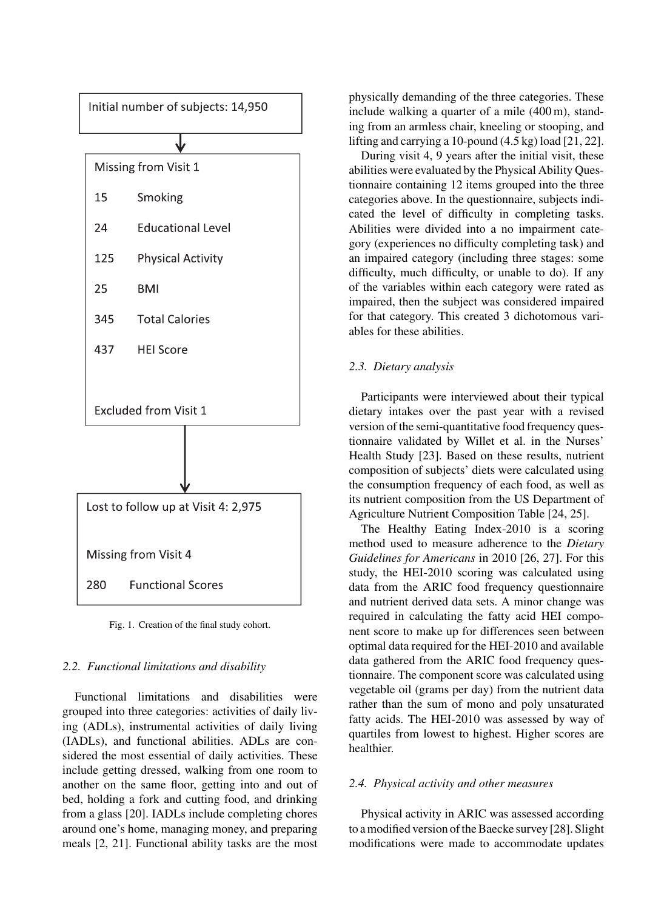

Fig. 1. Creation of the final study cohort.

# *2.2. Functional limitations and disability*

Functional limitations and disabilities were grouped into three categories: activities of daily living (ADLs), instrumental activities of daily living (IADLs), and functional abilities. ADLs are considered the most essential of daily activities. These include getting dressed, walking from one room to another on the same floor, getting into and out of bed, holding a fork and cutting food, and drinking from a glass [20]. IADLs include completing chores around one's home, managing money, and preparing meals [2, 21]. Functional ability tasks are the most physically demanding of the three categories. These include walking a quarter of a mile (400 m), standing from an armless chair, kneeling or stooping, and lifting and carrying a 10-pound (4.5 kg) load [21, 22].

During visit 4, 9 years after the initial visit, these abilities were evaluated by the Physical Ability Questionnaire containing 12 items grouped into the three categories above. In the questionnaire, subjects indicated the level of difficulty in completing tasks. Abilities were divided into a no impairment category (experiences no difficulty completing task) and an impaired category (including three stages: some difficulty, much difficulty, or unable to do). If any of the variables within each category were rated as impaired, then the subject was considered impaired for that category. This created 3 dichotomous variables for these abilities.

# *2.3. Dietary analysis*

Participants were interviewed about their typical dietary intakes over the past year with a revised version of the semi-quantitative food frequency questionnaire validated by Willet et al. in the Nurses' Health Study [23]. Based on these results, nutrient composition of subjects' diets were calculated using the consumption frequency of each food, as well as its nutrient composition from the US Department of Agriculture Nutrient Composition Table [24, 25].

The Healthy Eating Index-2010 is a scoring method used to measure adherence to the *Dietary Guidelines for Americans* in 2010 [26, 27]. For this study, the HEI-2010 scoring was calculated using data from the ARIC food frequency questionnaire and nutrient derived data sets. A minor change was required in calculating the fatty acid HEI component score to make up for differences seen between optimal data required for the HEI-2010 and available data gathered from the ARIC food frequency questionnaire. The component score was calculated using vegetable oil (grams per day) from the nutrient data rather than the sum of mono and poly unsaturated fatty acids. The HEI-2010 was assessed by way of quartiles from lowest to highest. Higher scores are healthier.

#### *2.4. Physical activity and other measures*

Physical activity in ARIC was assessed according to a modified version of the Baecke survey [28]. Slight modifications were made to accommodate updates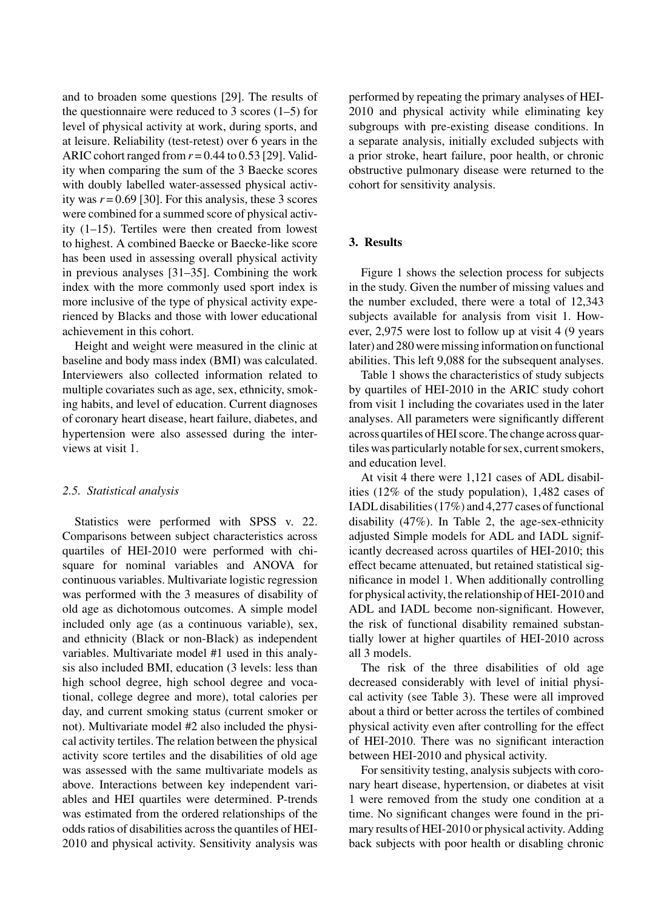and to broaden some questions [29]. The results of the questionnaire were reduced to 3 scores (1–5) for level of physical activity at work, during sports, and at leisure. Reliability (test-retest) over 6 years in the ARIC cohort ranged from  $r = 0.44$  to 0.53 [29]. Validity when comparing the sum of the 3 Baecke scores with doubly labelled water-assessed physical activity was  $r = 0.69$  [30]. For this analysis, these 3 scores were combined for a summed score of physical activity (1–15). Tertiles were then created from lowest to highest. A combined Baecke or Baecke-like score has been used in assessing overall physical activity in previous analyses [31–35]. Combining the work index with the more commonly used sport index is more inclusive of the type of physical activity experienced by Blacks and those with lower educational achievement in this cohort.

Height and weight were measured in the clinic at baseline and body mass index (BMI) was calculated. Interviewers also collected information related to multiple covariates such as age, sex, ethnicity, smoking habits, and level of education. Current diagnoses of coronary heart disease, heart failure, diabetes, and hypertension were also assessed during the interviews at visit 1.

# *2.5. Statistical analysis*

Statistics were performed with SPSS v. 22. Comparisons between subject characteristics across quartiles of HEI-2010 were performed with chisquare for nominal variables and ANOVA for continuous variables. Multivariate logistic regression was performed with the 3 measures of disability of old age as dichotomous outcomes. A simple model included only age (as a continuous variable), sex, and ethnicity (Black or non-Black) as independent variables. Multivariate model #1 used in this analysis also included BMI, education (3 levels: less than high school degree, high school degree and vocational, college degree and more), total calories per day, and current smoking status (current smoker or not). Multivariate model #2 also included the physical activity tertiles. The relation between the physical activity score tertiles and the disabilities of old age was assessed with the same multivariate models as above. Interactions between key independent variables and HEI quartiles were determined. P-trends was estimated from the ordered relationships of the odds ratios of disabilities across the quantiles of HEI-2010 and physical activity. Sensitivity analysis was

performed by repeating the primary analyses of HEI-2010 and physical activity while eliminating key subgroups with pre-existing disease conditions. In a separate analysis, initially excluded subjects with a prior stroke, heart failure, poor health, or chronic obstructive pulmonary disease were returned to the cohort for sensitivity analysis.

# **3. Results**

Figure 1 shows the selection process for subjects in the study. Given the number of missing values and the number excluded, there were a total of 12,343 subjects available for analysis from visit 1. However, 2,975 were lost to follow up at visit 4 (9 years later) and 280 were missing information on functional abilities. This left 9,088 for the subsequent analyses.

Table 1 shows the characteristics of study subjects by quartiles of HEI-2010 in the ARIC study cohort from visit 1 including the covariates used in the later analyses. All parameters were significantly different across quartiles of HEI score. The change across quartiles was particularly notable for sex, current smokers, and education level.

At visit 4 there were 1,121 cases of ADL disabilities (12% of the study population), 1,482 cases of IADL disabilities (17%) and 4,277 cases of functional disability (47%). In Table 2, the age-sex-ethnicity adjusted Simple models for ADL and IADL significantly decreased across quartiles of HEI-2010; this effect became attenuated, but retained statistical significance in model 1. When additionally controlling for physical activity, the relationship of HEI-2010 and ADL and IADL become non-significant. However, the risk of functional disability remained substantially lower at higher quartiles of HEI-2010 across all 3 models.

The risk of the three disabilities of old age decreased considerably with level of initial physical activity (see Table 3). These were all improved about a third or better across the tertiles of combined physical activity even after controlling for the effect of HEI-2010. There was no significant interaction between HEI-2010 and physical activity.

For sensitivity testing, analysis subjects with coronary heart disease, hypertension, or diabetes at visit 1 were removed from the study one condition at a time. No significant changes were found in the primary results of HEI-2010 or physical activity. Adding back subjects with poor health or disabling chronic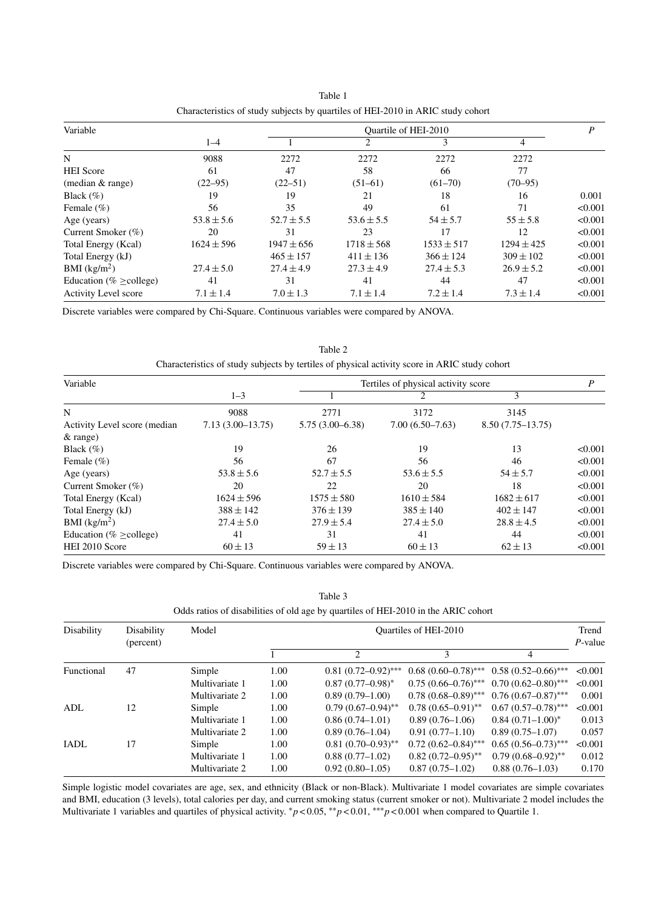| Variable                     |                | Ouartile of HEI-2010 |                |                |                |         |
|------------------------------|----------------|----------------------|----------------|----------------|----------------|---------|
|                              | $1 - 4$        |                      |                | 3              | 4              |         |
| N                            | 9088           | 2272                 | 2272           | 2272           | 2272           |         |
| <b>HEI</b> Score             | 61             | 47                   | 58             | 66             | 77             |         |
| (median & range)             | $(22 - 95)$    | $(22 - 51)$          | $(51-61)$      | $(61 - 70)$    | $(70-95)$      |         |
| Black $(\% )$                | 19             | 19                   | 21             | 18             | 16             | 0.001   |
| Female $(\% )$               | 56             | 35                   | 49             | 61             | 71             | < 0.001 |
| Age (years)                  | $53.8 \pm 5.6$ | $52.7 \pm 5.5$       | $53.6 \pm 5.5$ | $54 \pm 5.7$   | $55 \pm 5.8$   | < 0.001 |
| Current Smoker (%)           | 20             | 31                   | 23             | 17             | 12             | < 0.001 |
| Total Energy (Kcal)          | $1624 \pm 596$ | $1947 \pm 656$       | $1718 \pm 568$ | $1533 \pm 517$ | $1294 \pm 425$ | < 0.001 |
| Total Energy (kJ)            |                | $465 \pm 157$        | $411 \pm 136$  | $366 \pm 124$  | $309 \pm 102$  | < 0.001 |
| BMI (kg/m <sup>2</sup> )     | $27.4 \pm 5.0$ | $27.4 \pm 4.9$       | $27.3 \pm 4.9$ | $27.4 \pm 5.3$ | $26.9 \pm 5.2$ | < 0.001 |
| Education (% $\geq$ college) | 41             | 31                   | 41             | 44             | 47             | < 0.001 |
| <b>Activity Level score</b>  | $7.1 \pm 1.4$  | $7.0 \pm 1.3$        | $7.1 \pm 1.4$  | $7.2 \pm 1.4$  | $7.3 \pm 1.4$  | < 0.001 |

Table 1 Characteristics of study subjects by quartiles of HEI-2010 in ARIC study cohort

Discrete variables were compared by Chi-Square. Continuous variables were compared by ANOVA.

Table 2 Characteristics of study subjects by tertiles of physical activity score in ARIC study cohort

| Variable                     |                    | Tertiles of physical activity score |                   |                      |         |  |
|------------------------------|--------------------|-------------------------------------|-------------------|----------------------|---------|--|
|                              | $1 - 3$            |                                     |                   | 3                    |         |  |
| N                            | 9088               | 2771                                | 3172              | 3145                 |         |  |
| Activity Level score (median | $7.13(3.00-13.75)$ | $5.75(3.00 - 6.38)$                 | $7.00(6.50-7.63)$ | $8.50(7.75 - 13.75)$ |         |  |
| $&$ range)                   |                    |                                     |                   |                      |         |  |
| Black $(\% )$                | 19                 | 26                                  | 19                | 13                   | < 0.001 |  |
| Female $(\% )$               | 56                 | 67                                  | 56                | 46                   | < 0.001 |  |
| Age (years)                  | $53.8 \pm 5.6$     | $52.7 \pm 5.5$                      | $53.6 \pm 5.5$    | $54 \pm 5.7$         | < 0.001 |  |
| Current Smoker (%)           | 20                 | 22                                  | 20                | 18                   | < 0.001 |  |
| Total Energy (Kcal)          | $1624 \pm 596$     | $1575 \pm 580$                      | $1610 \pm 584$    | $1682 \pm 617$       | < 0.001 |  |
| Total Energy (kJ)            | $388 \pm 142$      | $376 \pm 139$                       | $385 \pm 140$     | $402 \pm 147$        | < 0.001 |  |
| BMI $(kg/m^2)$               | $27.4 \pm 5.0$     | $27.9 \pm 5.4$                      | $27.4 \pm 5.0$    | $28.8 \pm 4.5$       | < 0.001 |  |
| Education (% $\geq$ college) | 41                 | 31                                  | 41                | 44                   | < 0.001 |  |
| HEI 2010 Score               | $60 \pm 13$        | $59 \pm 13$                         | $60 \pm 13$       | $62 \pm 13$          | < 0.001 |  |

Discrete variables were compared by Chi-Square. Continuous variables were compared by ANOVA.

Table 3

# Odds ratios of disabilities of old age by quartiles of HEI-2010 in the ARIC cohort

| Disability | Disability<br>(percent) | Model          | Quartiles of HEI-2010 |                       |                         |                         |            |
|------------|-------------------------|----------------|-----------------------|-----------------------|-------------------------|-------------------------|------------|
|            |                         |                |                       | $\overline{c}$        | 3                       | 4                       | $P$ -value |
| Functional | 47                      | Simple         | 1.00                  | $0.81(0.72-0.92)$ *** | $0.68(0.60-0.78)$ ***   | $0.58(0.52-0.66)$ ***   | < 0.001    |
|            |                         | Multivariate 1 | 1.00                  | $0.87(0.77-0.98)^*$   | $0.75(0.66 - 0.76)$ *** | $0.70(0.62 - 0.80)$ *** | < 0.001    |
|            |                         | Multivariate 2 | 1.00                  | $0.89(0.79-1.00)$     | $0.78(0.68 - 0.89)$ *** | $0.76(0.67-0.87)$ ***   | 0.001      |
| ADL        | 12                      | Simple         | 1.00                  | $0.79(0.67-0.94)$ **  | $0.78(0.65 - 0.91)$ **  | $0.67(0.57-0.78)$ ***   | < 0.001    |
|            |                         | Multivariate 1 | 1.00                  | $0.86(0.74 - 1.01)$   | $0.89(0.76-1.06)$       | $0.84(0.71-1.00)^*$     | 0.013      |
|            |                         | Multivariate 2 | 1.00                  | $0.89(0.76 - 1.04)$   | $0.91(0.77-1.10)$       | $0.89(0.75-1.07)$       | 0.057      |
| IADL       | 17                      | Simple         | 1.00                  | $0.81(0.70-0.93)$ **  | $0.72(0.62 - 0.84)$ *** | $0.65(0.56-0.73)$ ***   | < 0.001    |
|            |                         | Multivariate 1 | 1.00                  | $0.88(0.77-1.02)$     | $0.82(0.72 - 0.95)$ **  | $0.79(0.68 - 0.92)$ **  | 0.012      |
|            |                         | Multivariate 2 | 1.00                  | $0.92(0.80-1.05)$     | $0.87(0.75-1.02)$       | $0.88(0.76 - 1.03)$     | 0.170      |

Simple logistic model covariates are age, sex, and ethnicity (Black or non-Black). Multivariate 1 model covariates are simple covariates and BMI, education (3 levels), total calories per day, and current smoking status (current smoker or not). Multivariate 2 model includes the Multivariate 1 variables and quartiles of physical activity. ∗*p* < 0.05, ∗∗*p* < 0.01, ∗∗∗*p* < 0.001 when compared to Quartile 1.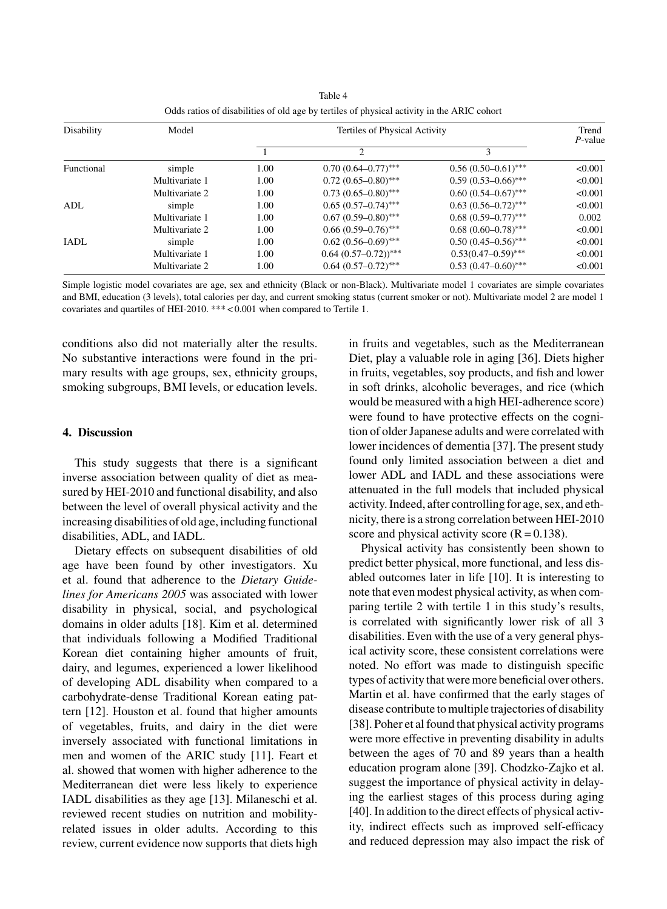| Disability | Model          | Tertiles of Physical Activity |                                  |                         |         |
|------------|----------------|-------------------------------|----------------------------------|-------------------------|---------|
|            |                |                               | $\mathfrak{D}$                   | 3                       |         |
| Functional | simple         | 1.00                          | $0.70(0.64 - 0.77)$ ***          | $0.56(0.50-0.61)$ ***   | < 0.001 |
|            | Multivariate 1 | 1.00                          | $0.72(0.65 - 0.80)$ ***          | $0.59(0.53 - 0.66)$ *** | < 0.001 |
|            | Multivariate 2 | 1.00                          | $0.73(0.65 - 0.80)$ ***          | $0.60(0.54 - 0.67)$ *** | < 0.001 |
| ADL        | simple         | 1.00                          | $0.65(0.57-0.74)$ ***            | $0.63(0.56 - 0.72)$ *** | < 0.001 |
|            | Multivariate 1 | 1.00                          | $0.67(0.59 - 0.80)$ ***          | $0.68(0.59 - 0.77)$ *** | 0.002   |
|            | Multivariate 2 | 1.00                          | $0.66(0.59-0.76)$ ***            | $0.68(0.60 - 0.78)$ *** | < 0.001 |
| IADL       | simple         | 1.00                          | $0.62(0.56-0.69)$ ***            | $0.50(0.45-0.56)$ ***   | < 0.001 |
|            | Multivariate 1 | 1.00                          | $0.64(0.57-0.72)$ <sup>***</sup> | $0.53(0.47-0.59)$ ***   | < 0.001 |
|            | Multivariate 2 | 1.00                          | $0.64(0.57-0.72)$ ***            | $0.53(0.47-0.60)$ ***   | < 0.001 |

Table 4 Odds ratios of disabilities of old age by tertiles of physical activity in the ARIC cohort

Simple logistic model covariates are age, sex and ethnicity (Black or non-Black). Multivariate model 1 covariates are simple covariates and BMI, education (3 levels), total calories per day, and current smoking status (current smoker or not). Multivariate model 2 are model 1 covariates and quartiles of HEI-2010. \*\*\* < 0.001 when compared to Tertile 1.

conditions also did not materially alter the results. No substantive interactions were found in the primary results with age groups, sex, ethnicity groups, smoking subgroups, BMI levels, or education levels.

# **4. Discussion**

This study suggests that there is a significant inverse association between quality of diet as measured by HEI-2010 and functional disability, and also between the level of overall physical activity and the increasing disabilities of old age, including functional disabilities, ADL, and IADL.

Dietary effects on subsequent disabilities of old age have been found by other investigators. Xu et al. found that adherence to the *Dietary Guidelines for Americans 2005* was associated with lower disability in physical, social, and psychological domains in older adults [18]. Kim et al. determined that individuals following a Modified Traditional Korean diet containing higher amounts of fruit, dairy, and legumes, experienced a lower likelihood of developing ADL disability when compared to a carbohydrate-dense Traditional Korean eating pattern [12]. Houston et al. found that higher amounts of vegetables, fruits, and dairy in the diet were inversely associated with functional limitations in men and women of the ARIC study [11]. Feart et al. showed that women with higher adherence to the Mediterranean diet were less likely to experience IADL disabilities as they age [13]. Milaneschi et al. reviewed recent studies on nutrition and mobilityrelated issues in older adults. According to this review, current evidence now supports that diets high

in fruits and vegetables, such as the Mediterranean Diet, play a valuable role in aging [36]. Diets higher in fruits, vegetables, soy products, and fish and lower in soft drinks, alcoholic beverages, and rice (which would be measured with a high HEI-adherence score) were found to have protective effects on the cognition of older Japanese adults and were correlated with lower incidences of dementia [37]. The present study found only limited association between a diet and lower ADL and IADL and these associations were attenuated in the full models that included physical activity. Indeed, after controlling for age, sex, and ethnicity, there is a strong correlation between HEI-2010 score and physical activity score  $(R = 0.138)$ .

Physical activity has consistently been shown to predict better physical, more functional, and less disabled outcomes later in life [10]. It is interesting to note that even modest physical activity, as when comparing tertile 2 with tertile 1 in this study's results, is correlated with significantly lower risk of all 3 disabilities. Even with the use of a very general physical activity score, these consistent correlations were noted. No effort was made to distinguish specific types of activity that were more beneficial over others. Martin et al. have confirmed that the early stages of disease contribute to multiple trajectories of disability [38]. Poher et al found that physical activity programs were more effective in preventing disability in adults between the ages of 70 and 89 years than a health education program alone [39]. Chodzko-Zajko et al. suggest the importance of physical activity in delaying the earliest stages of this process during aging [40]. In addition to the direct effects of physical activity, indirect effects such as improved self-efficacy and reduced depression may also impact the risk of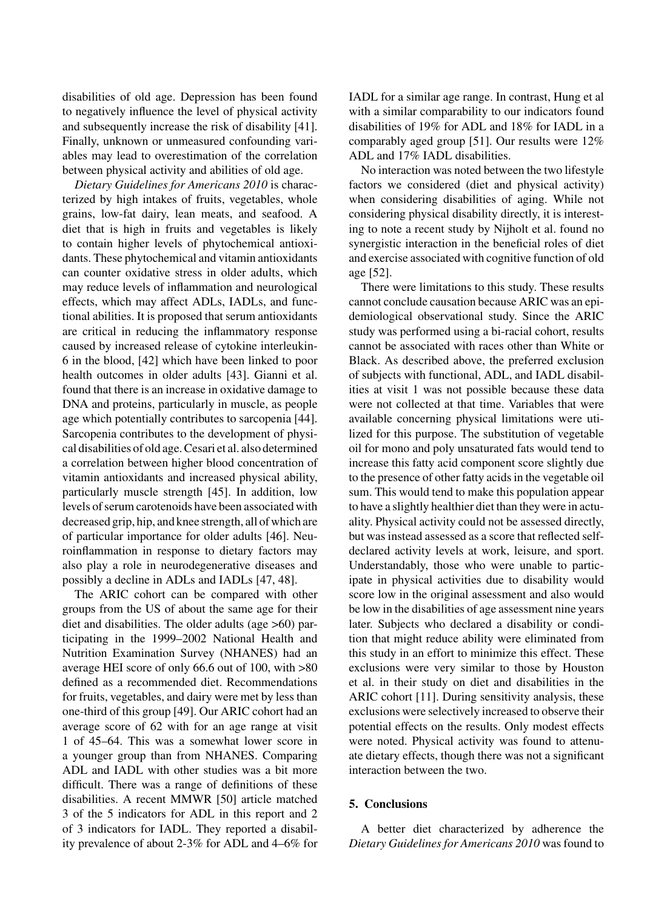disabilities of old age. Depression has been found to negatively influence the level of physical activity and subsequently increase the risk of disability [41]. Finally, unknown or unmeasured confounding variables may lead to overestimation of the correlation between physical activity and abilities of old age.

*Dietary Guidelines for Americans 2010* is characterized by high intakes of fruits, vegetables, whole grains, low-fat dairy, lean meats, and seafood. A diet that is high in fruits and vegetables is likely to contain higher levels of phytochemical antioxidants. These phytochemical and vitamin antioxidants can counter oxidative stress in older adults, which may reduce levels of inflammation and neurological effects, which may affect ADLs, IADLs, and functional abilities. It is proposed that serum antioxidants are critical in reducing the inflammatory response caused by increased release of cytokine interleukin-6 in the blood, [42] which have been linked to poor health outcomes in older adults [43]. Gianni et al. found that there is an increase in oxidative damage to DNA and proteins, particularly in muscle, as people age which potentially contributes to sarcopenia [44]. Sarcopenia contributes to the development of physical disabilities of old age. Cesari et al. also determined a correlation between higher blood concentration of vitamin antioxidants and increased physical ability, particularly muscle strength [45]. In addition, low levels of serum carotenoids have been associated with decreased grip, hip, and knee strength, all of which are of particular importance for older adults [46]. Neuroinflammation in response to dietary factors may also play a role in neurodegenerative diseases and possibly a decline in ADLs and IADLs [47, 48].

The ARIC cohort can be compared with other groups from the US of about the same age for their diet and disabilities. The older adults (age >60) participating in the 1999–2002 National Health and Nutrition Examination Survey (NHANES) had an average HEI score of only 66.6 out of 100, with >80 defined as a recommended diet. Recommendations for fruits, vegetables, and dairy were met by less than one-third of this group [49]. Our ARIC cohort had an average score of 62 with for an age range at visit 1 of 45–64. This was a somewhat lower score in a younger group than from NHANES. Comparing ADL and IADL with other studies was a bit more difficult. There was a range of definitions of these disabilities. A recent MMWR [50] article matched 3 of the 5 indicators for ADL in this report and 2 of 3 indicators for IADL. They reported a disability prevalence of about 2-3% for ADL and 4–6% for IADL for a similar age range. In contrast, Hung et al with a similar comparability to our indicators found disabilities of 19% for ADL and 18% for IADL in a comparably aged group [51]. Our results were 12% ADL and 17% IADL disabilities.

No interaction was noted between the two lifestyle factors we considered (diet and physical activity) when considering disabilities of aging. While not considering physical disability directly, it is interesting to note a recent study by Nijholt et al. found no synergistic interaction in the beneficial roles of diet and exercise associated with cognitive function of old age [52].

There were limitations to this study. These results cannot conclude causation because ARIC was an epidemiological observational study. Since the ARIC study was performed using a bi-racial cohort, results cannot be associated with races other than White or Black. As described above, the preferred exclusion of subjects with functional, ADL, and IADL disabilities at visit 1 was not possible because these data were not collected at that time. Variables that were available concerning physical limitations were utilized for this purpose. The substitution of vegetable oil for mono and poly unsaturated fats would tend to increase this fatty acid component score slightly due to the presence of other fatty acids in the vegetable oil sum. This would tend to make this population appear to have a slightly healthier diet than they were in actuality. Physical activity could not be assessed directly, but was instead assessed as a score that reflected selfdeclared activity levels at work, leisure, and sport. Understandably, those who were unable to participate in physical activities due to disability would score low in the original assessment and also would be low in the disabilities of age assessment nine years later. Subjects who declared a disability or condition that might reduce ability were eliminated from this study in an effort to minimize this effect. These exclusions were very similar to those by Houston et al. in their study on diet and disabilities in the ARIC cohort [11]. During sensitivity analysis, these exclusions were selectively increased to observe their potential effects on the results. Only modest effects were noted. Physical activity was found to attenuate dietary effects, though there was not a significant interaction between the two.

# **5. Conclusions**

A better diet characterized by adherence the *Dietary Guidelines for Americans 2010* was found to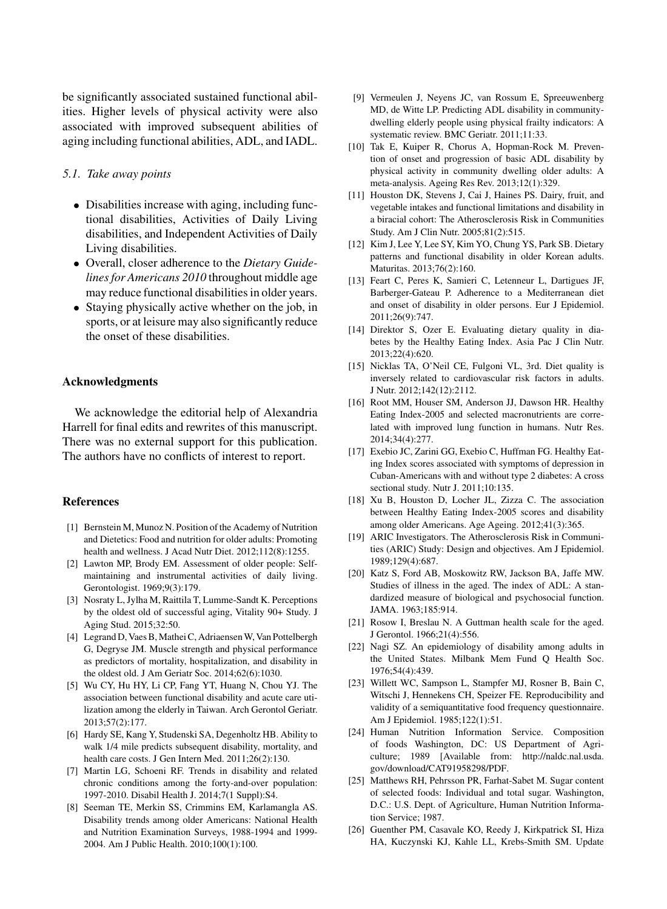be significantly associated sustained functional abilities. Higher levels of physical activity were also associated with improved subsequent abilities of aging including functional abilities, ADL, and IADL.

# *5.1. Take away points*

- Disabilities increase with aging, including functional disabilities, Activities of Daily Living disabilities, and Independent Activities of Daily Living disabilities.
- Overall, closer adherence to the *Dietary Guidelines for Americans 2010* throughout middle age may reduce functional disabilities in older years.
- Staying physically active whether on the job, in sports, or at leisure may also significantly reduce the onset of these disabilities.

#### **Acknowledgments**

We acknowledge the editorial help of Alexandria Harrell for final edits and rewrites of this manuscript. There was no external support for this publication. The authors have no conflicts of interest to report.

#### **References**

- [1] Bernstein M, Munoz N. Position of the Academy of Nutrition and Dietetics: Food and nutrition for older adults: Promoting health and wellness. J Acad Nutr Diet. 2012;112(8):1255.
- [2] Lawton MP, Brody EM. Assessment of older people: Selfmaintaining and instrumental activities of daily living. Gerontologist. 1969;9(3):179.
- [3] Nosraty L, Jylha M, Raittila T, Lumme-Sandt K. Perceptions by the oldest old of successful aging, Vitality 90+ Study. J Aging Stud. 2015;32:50.
- [4] Legrand D, Vaes B, Mathei C, Adriaensen W, Van Pottelbergh G, Degryse JM. Muscle strength and physical performance as predictors of mortality, hospitalization, and disability in the oldest old. J Am Geriatr Soc. 2014;62(6):1030.
- [5] Wu CY, Hu HY, Li CP, Fang YT, Huang N, Chou YJ. The association between functional disability and acute care utilization among the elderly in Taiwan. Arch Gerontol Geriatr. 2013;57(2):177.
- [6] Hardy SE, Kang Y, Studenski SA, Degenholtz HB. Ability to walk 1/4 mile predicts subsequent disability, mortality, and health care costs. J Gen Intern Med. 2011;26(2):130.
- [7] Martin LG, Schoeni RF. Trends in disability and related chronic conditions among the forty-and-over population: 1997-2010. Disabil Health J. 2014;7(1 Suppl):S4.
- [8] Seeman TE, Merkin SS, Crimmins EM, Karlamangla AS. Disability trends among older Americans: National Health and Nutrition Examination Surveys, 1988-1994 and 1999- 2004. Am J Public Health. 2010;100(1):100.
- [9] Vermeulen J, Neyens JC, van Rossum E, Spreeuwenberg MD, de Witte LP. Predicting ADL disability in communitydwelling elderly people using physical frailty indicators: A systematic review. BMC Geriatr. 2011;11:33.
- [10] Tak E, Kuiper R, Chorus A, Hopman-Rock M. Prevention of onset and progression of basic ADL disability by physical activity in community dwelling older adults: A meta-analysis. Ageing Res Rev. 2013;12(1):329.
- [11] Houston DK, Stevens J, Cai J, Haines PS. Dairy, fruit, and vegetable intakes and functional limitations and disability in a biracial cohort: The Atherosclerosis Risk in Communities Study. Am J Clin Nutr. 2005;81(2):515.
- [12] Kim J, Lee Y, Lee SY, Kim YO, Chung YS, Park SB. Dietary patterns and functional disability in older Korean adults. Maturitas. 2013;76(2):160.
- [13] Feart C, Peres K, Samieri C, Letenneur L, Dartigues JF, Barberger-Gateau P. Adherence to a Mediterranean diet and onset of disability in older persons. Eur J Epidemiol. 2011;26(9):747.
- [14] Direktor S, Ozer E. Evaluating dietary quality in diabetes by the Healthy Eating Index. Asia Pac J Clin Nutr. 2013;22(4):620.
- [15] Nicklas TA, O'Neil CE, Fulgoni VL, 3rd. Diet quality is inversely related to cardiovascular risk factors in adults. J Nutr. 2012;142(12):2112.
- [16] Root MM, Houser SM, Anderson JJ, Dawson HR. Healthy Eating Index-2005 and selected macronutrients are correlated with improved lung function in humans. Nutr Res. 2014;34(4):277.
- [17] Exebio JC, Zarini GG, Exebio C, Huffman FG. Healthy Eating Index scores associated with symptoms of depression in Cuban-Americans with and without type 2 diabetes: A cross sectional study. Nutr J. 2011;10:135.
- [18] Xu B, Houston D, Locher JL, Zizza C. The association between Healthy Eating Index-2005 scores and disability among older Americans. Age Ageing. 2012;41(3):365.
- [19] ARIC Investigators. The Atherosclerosis Risk in Communities (ARIC) Study: Design and objectives. Am J Epidemiol. 1989;129(4):687.
- [20] Katz S, Ford AB, Moskowitz RW, Jackson BA, Jaffe MW. Studies of illness in the aged. The index of ADL: A standardized measure of biological and psychosocial function. JAMA. 1963;185:914.
- [21] Rosow I, Breslau N. A Guttman health scale for the aged. J Gerontol. 1966;21(4):556.
- [22] Nagi SZ. An epidemiology of disability among adults in the United States. Milbank Mem Fund Q Health Soc. 1976;54(4):439.
- [23] Willett WC, Sampson L, Stampfer MJ, Rosner B, Bain C, Witschi J, Hennekens CH, Speizer FE. Reproducibility and validity of a semiquantitative food frequency questionnaire. Am J Epidemiol. 1985;122(1):51.
- [24] Human Nutrition Information Service. Composition of foods Washington, DC: US Department of Agriculture; 1989 [Available from: [http://naldc.nal.usda.](http://naldc.nal.usda.gov/download/CAT91958298/PDF) [gov/download/CAT91958298/PDF.](http://naldc.nal.usda.gov/download/CAT91958298/PDF)
- [25] Matthews RH, Pehrsson PR, Farhat-Sabet M. Sugar content of selected foods: Individual and total sugar. Washington, D.C.: U.S. Dept. of Agriculture, Human Nutrition Information Service; 1987.
- [26] Guenther PM, Casavale KO, Reedy J, Kirkpatrick SI, Hiza HA, Kuczynski KJ, Kahle LL, Krebs-Smith SM. Update